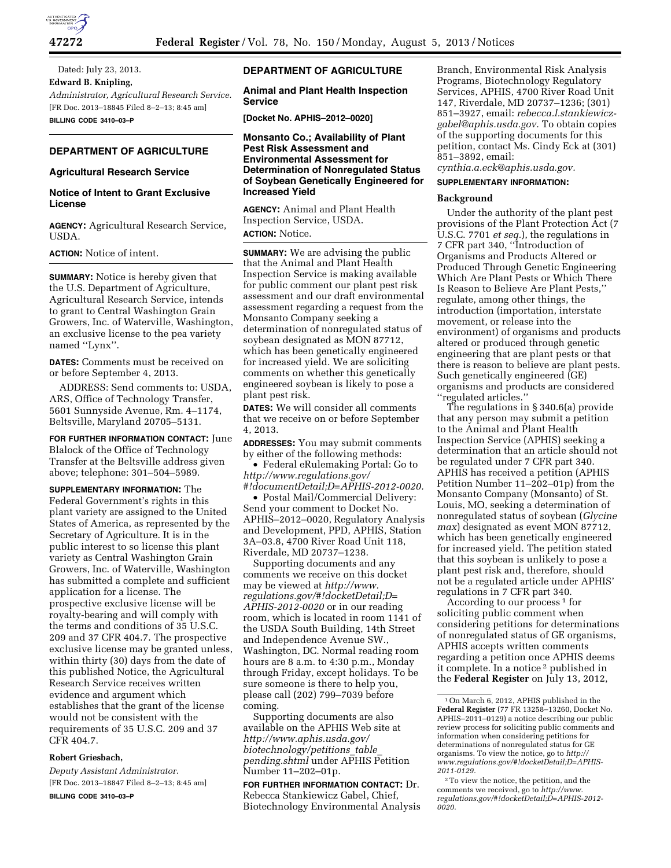

Dated: July 23, 2013. **Edward B. Knipling,**  *Administrator, Agricultural Research Service.*  [FR Doc. 2013–18845 Filed 8–2–13; 8:45 am] **BILLING CODE 3410–03–P** 

# **DEPARTMENT OF AGRICULTURE**

### **Agricultural Research Service**

## **Notice of Intent to Grant Exclusive License**

**AGENCY:** Agricultural Research Service, USDA.

**ACTION:** Notice of intent.

**SUMMARY:** Notice is hereby given that the U.S. Department of Agriculture, Agricultural Research Service, intends to grant to Central Washington Grain Growers, Inc. of Waterville, Washington, an exclusive license to the pea variety named ''Lynx''.

**DATES:** Comments must be received on or before September 4, 2013.

ADDRESS: Send comments to: USDA, ARS, Office of Technology Transfer, 5601 Sunnyside Avenue, Rm. 4–1174, Beltsville, Maryland 20705–5131.

**FOR FURTHER INFORMATION CONTACT:** June Blalock of the Office of Technology Transfer at the Beltsville address given above; telephone: 301–504–5989.

**SUPPLEMENTARY INFORMATION:** The Federal Government's rights in this plant variety are assigned to the United States of America, as represented by the Secretary of Agriculture. It is in the public interest to so license this plant variety as Central Washington Grain Growers, Inc. of Waterville, Washington has submitted a complete and sufficient application for a license. The prospective exclusive license will be royalty-bearing and will comply with the terms and conditions of 35 U.S.C. 209 and 37 CFR 404.7. The prospective exclusive license may be granted unless, within thirty (30) days from the date of this published Notice, the Agricultural Research Service receives written evidence and argument which establishes that the grant of the license would not be consistent with the requirements of 35 U.S.C. 209 and 37 CFR 404.7.

### **Robert Griesbach,**

*Deputy Assistant Administrator.*  [FR Doc. 2013–18847 Filed 8–2–13; 8:45 am] **BILLING CODE 3410–03–P** 

## **DEPARTMENT OF AGRICULTURE**

**Animal and Plant Health Inspection Service** 

**[Docket No. APHIS–2012–0020]** 

**Monsanto Co.; Availability of Plant Pest Risk Assessment and Environmental Assessment for Determination of Nonregulated Status of Soybean Genetically Engineered for Increased Yield** 

**AGENCY:** Animal and Plant Health Inspection Service, USDA. **ACTION:** Notice.

**SUMMARY:** We are advising the public that the Animal and Plant Health Inspection Service is making available for public comment our plant pest risk assessment and our draft environmental assessment regarding a request from the Monsanto Company seeking a determination of nonregulated status of soybean designated as MON 87712, which has been genetically engineered for increased yield. We are soliciting comments on whether this genetically engineered soybean is likely to pose a plant pest risk.

**DATES:** We will consider all comments that we receive on or before September 4, 2013.

**ADDRESSES:** You may submit comments by either of the following methods:

• Federal eRulemaking Portal: Go to *[http://www.regulations.gov/](http://www.regulations.gov/#!documentDetail;D=APHIS-2012-0020)  [#!documentDetail;D=APHIS-2012-0020.](http://www.regulations.gov/#!documentDetail;D=APHIS-2012-0020)* 

• Postal Mail/Commercial Delivery: Send your comment to Docket No. APHIS–2012–0020, Regulatory Analysis and Development, PPD, APHIS, Station 3A–03.8, 4700 River Road Unit 118, Riverdale, MD 20737–1238.

Supporting documents and any comments we receive on this docket may be viewed at *[http://www.](http://www.regulations.gov/#!docketDetail;D=APHIS-2012-0020) [regulations.gov/#!docketDetail;D=](http://www.regulations.gov/#!docketDetail;D=APHIS-2012-0020) [APHIS-2012-0020](http://www.regulations.gov/#!docketDetail;D=APHIS-2012-0020)* or in our reading room, which is located in room 1141 of the USDA South Building, 14th Street and Independence Avenue SW., Washington, DC. Normal reading room hours are 8 a.m. to 4:30 p.m., Monday through Friday, except holidays. To be sure someone is there to help you, please call (202) 799–7039 before coming.

Supporting documents are also available on the APHIS Web site at *[http://www.aphis.usda.gov/](http://www.aphis.usda.gov/biotechnology/petitions_table_pending.shtml) [biotechnology/petitions](http://www.aphis.usda.gov/biotechnology/petitions_table_pending.shtml)*\_*table*\_ *[pending.shtml](http://www.aphis.usda.gov/biotechnology/petitions_table_pending.shtml)* under APHIS Petition Number 11–202–01p.

**FOR FURTHER INFORMATION CONTACT:** Dr. Rebecca Stankiewicz Gabel, Chief, Biotechnology Environmental Analysis Branch, Environmental Risk Analysis Programs, Biotechnology Regulatory Services, APHIS, 4700 River Road Unit 147, Riverdale, MD 20737–1236; (301) 851–3927, email: *[rebecca.l.stankiewicz](mailto:rebecca.l.stankiewicz-gabel@aphis.usda.gov)[gabel@aphis.usda.gov.](mailto:rebecca.l.stankiewicz-gabel@aphis.usda.gov)* To obtain copies of the supporting documents for this petition, contact Ms. Cindy Eck at (301) 851–3892, email:

*[cynthia.a.eck@aphis.usda.gov.](mailto:cynthia.a.eck@aphis.usda.gov)* 

## **SUPPLEMENTARY INFORMATION:**

### **Background**

Under the authority of the plant pest provisions of the Plant Protection Act (7 U.S.C. 7701 *et seq.*), the regulations in 7 CFR part 340, ''Introduction of Organisms and Products Altered or Produced Through Genetic Engineering Which Are Plant Pests or Which There Is Reason to Believe Are Plant Pests,'' regulate, among other things, the introduction (importation, interstate movement, or release into the environment) of organisms and products altered or produced through genetic engineering that are plant pests or that there is reason to believe are plant pests. Such genetically engineered (GE) organisms and products are considered ''regulated articles.''

The regulations in § 340.6(a) provide that any person may submit a petition to the Animal and Plant Health Inspection Service (APHIS) seeking a determination that an article should not be regulated under 7 CFR part 340. APHIS has received a petition (APHIS Petition Number 11–202–01p) from the Monsanto Company (Monsanto) of St. Louis, MO, seeking a determination of nonregulated status of soybean (*Glycine max*) designated as event MON 87712, which has been genetically engineered for increased yield. The petition stated that this soybean is unlikely to pose a plant pest risk and, therefore, should not be a regulated article under APHIS' regulations in 7 CFR part 340.

According to our process 1 for soliciting public comment when considering petitions for determinations of nonregulated status of GE organisms, APHIS accepts written comments regarding a petition once APHIS deems it complete. In a notice 2 published in the **Federal Register** on July 13, 2012,

<sup>1</sup>On March 6, 2012, APHIS published in the **Federal Register** (77 FR 13258–13260, Docket No. APHIS–2011–0129) a notice describing our public review process for soliciting public comments and information when considering petitions for determinations of nonregulated status for GE organisms. To view the notice, go to *[http://](http://www.regulations.gov/#!docketDetail;D=APHIS-2011-0129) [www.regulations.gov/#!docketDetail;D=APHIS-](http://www.regulations.gov/#!docketDetail;D=APHIS-2011-0129)[2011-0129.](http://www.regulations.gov/#!docketDetail;D=APHIS-2011-0129)* 

<sup>2</sup>To view the notice, the petition, and the comments we received, go to *[http://www.](http://www.regulations.gov/#!docketDetail;D=APHIS-2012-0020) [regulations.gov/#!docketDetail;D=APHIS-2012-](http://www.regulations.gov/#!docketDetail;D=APHIS-2012-0020)  [0020.](http://www.regulations.gov/#!docketDetail;D=APHIS-2012-0020)*